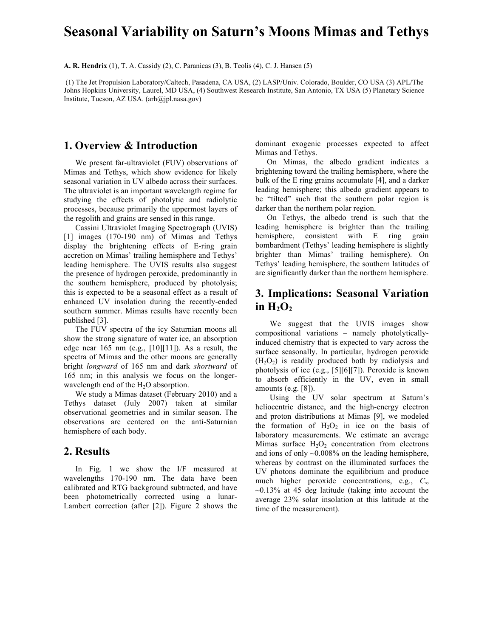# **Seasonal Variability on Saturn's Moons Mimas and Tethys**

**A. R. Hendrix** (1), T. A. Cassidy (2), C. Paranicas (3), B. Teolis (4), C. J. Hansen (5)

 (1) The Jet Propulsion Laboratory/Caltech, Pasadena, CA USA, (2) LASP/Univ. Colorado, Boulder, CO USA (3) APL/The Johns Hopkins University, Laurel, MD USA, (4) Southwest Research Institute, San Antonio, TX USA (5) Planetary Science Institute, Tucson, AZ USA. (arh@jpl.nasa.gov)

### **1. Overview & Introduction**

We present far-ultraviolet (FUV) observations of Mimas and Tethys, which show evidence for likely seasonal variation in UV albedo across their surfaces. The ultraviolet is an important wavelength regime for studying the effects of photolytic and radiolytic processes, because primarily the uppermost layers of the regolith and grains are sensed in this range.

Cassini Ultraviolet Imaging Spectrograph (UVIS) [1] images (170-190 nm) of Mimas and Tethys display the brightening effects of E-ring grain accretion on Mimas' trailing hemisphere and Tethys' leading hemisphere. The UVIS results also suggest the presence of hydrogen peroxide, predominantly in the southern hemisphere, produced by photolysis; this is expected to be a seasonal effect as a result of enhanced UV insolation during the recently-ended southern summer. Mimas results have recently been published [3].

The FUV spectra of the icy Saturnian moons all show the strong signature of water ice, an absorption edge near  $165 \text{ nm}$  (e.g., [10][11]). As a result, the spectra of Mimas and the other moons are generally bright *longward* of 165 nm and dark *shortward* of 165 nm; in this analysis we focus on the longerwavelength end of the H<sub>2</sub>O absorption.

We study a Mimas dataset (February 2010) and a Tethys dataset (July 2007) taken at similar observational geometries and in similar season. The observations are centered on the anti-Saturnian hemisphere of each body.

#### **2. Results**

In Fig. 1 we show the I/F measured at wavelengths 170-190 nm. The data have been calibrated and RTG background subtracted, and have been photometrically corrected using a lunar-Lambert correction (after [2]). Figure 2 shows the dominant exogenic processes expected to affect Mimas and Tethys.

On Mimas, the albedo gradient indicates a brightening toward the trailing hemisphere, where the bulk of the E ring grains accumulate [4], and a darker leading hemisphere; this albedo gradient appears to be "tilted" such that the southern polar region is darker than the northern polar region.

On Tethys, the albedo trend is such that the leading hemisphere is brighter than the trailing hemisphere, consistent with E ring grain bombardment (Tethys' leading hemisphere is slightly brighter than Mimas' trailing hemisphere). On Tethys' leading hemisphere, the southern latitudes of are significantly darker than the northern hemisphere.

## **3. Implications: Seasonal Variation**  in  $H_2O_2$

We suggest that the UVIS images show compositional variations – namely photolyticallyinduced chemistry that is expected to vary across the surface seasonally. In particular, hydrogen peroxide  $(H<sub>2</sub>O<sub>2</sub>)$  is readily produced both by radiolysis and photolysis of ice (e.g., [5][6][7]). Peroxide is known to absorb efficiently in the UV, even in small amounts (e.g. [8]).

Using the UV solar spectrum at Saturn's heliocentric distance, and the high-energy electron and proton distributions at Mimas [9], we modeled the formation of  $H_2O_2$  in ice on the basis of laboratory measurements. We estimate an average Mimas surface  $H_2O_2$  concentration from electrons and ions of only  $\sim 0.008\%$  on the leading hemisphere, whereas by contrast on the illuminated surfaces the UV photons dominate the equilibrium and produce much higher peroxide concentrations, e.g., *C<sup>∞</sup>*  $\sim$ 0.13% at 45 deg latitude (taking into account the average 23% solar insolation at this latitude at the time of the measurement).